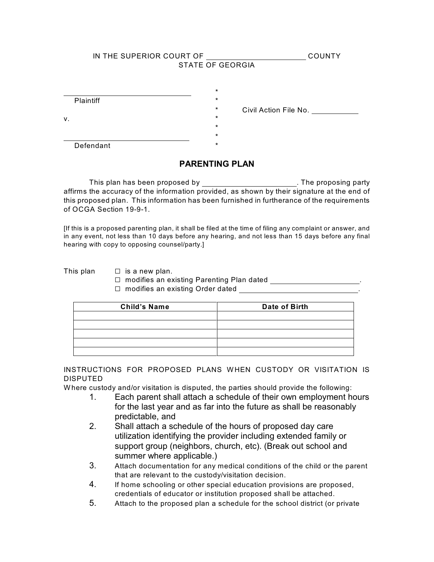|    | IN THE SUPERIOR COURT OF | <b>STATE OF GEORGIA</b>                   | <b>COUNTY</b>         |
|----|--------------------------|-------------------------------------------|-----------------------|
| ν. | Plaintiff                | $\star$<br>$\star$<br>$^\star$<br>$\star$ | Civil Action File No. |
|    |                          | $\star$<br>$\star$                        |                       |
|    | Defendant                | $\star$                                   |                       |

# **PARENTING PLAN**

This plan has been proposed by \_\_\_\_\_\_\_\_\_\_\_\_\_\_\_\_\_\_\_\_\_\_\_\_. The proposing party affirms the accuracy of the information provided, as shown by their signature at the end of this proposed plan. This information has been furnished in furtherance of the requirements of OCGA Section 19-9-1.

[If this is a proposed parenting plan, it shall be filed at the time of filing any complaint or answer, and in any event, not less than 10 days before any hearing, and not less than 15 days before any final hearing with copy to opposing counsel/party.]

- This plan  $\Box$  is a new plan.
	- □ modifies an existing Parenting Plan dated \_\_\_\_\_\_\_\_\_\_\_\_\_\_\_
	- $\Box$  modifies an existing Order dated

| <b>Child's Name</b> | Date of Birth |  |  |
|---------------------|---------------|--|--|
|                     |               |  |  |
|                     |               |  |  |
|                     |               |  |  |
|                     |               |  |  |
|                     |               |  |  |

INSTRUCTIONS FOR PROPOSED PLANS WHEN CUSTODY OR VISITATION IS DISPUTED

Where custody and/or visitation is disputed, the parties should provide the following:

- 1. Each parent shall attach a schedule of their own employment hours for the last year and as far into the future as shall be reasonably predictable, and
- 2. Shall attach a schedule of the hours of proposed day care utilization identifying the provider including extended family or support group (neighbors, church, etc). (Break out school and summer where applicable.)
- 3. Attach documentation for any medical conditions of the child or the parent that are relevant to the custody/visitation decision.
- 4. If home schooling or other special education provisions are proposed, credentials of educator or institution proposed shall be attached.
- 5. Attach to the proposed plan a schedule for the school district (or private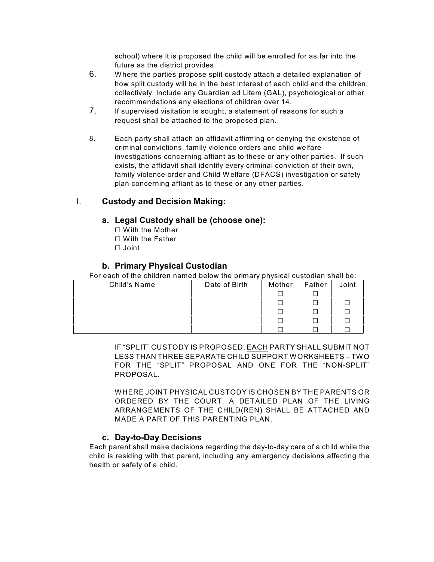school) where it is proposed the child will be enrolled for as far into the future as the district provides.

- 6. Where the parties propose split custody attach a detailed explanation of how split custody will be in the best interest of each child and the children, collectively. Include any Guardian ad Litem (GAL), psychological or other recommendations any elections of children over 14.
- 7. If supervised visitation is sought, a statement of reasons for such a request shall be attached to the proposed plan.
- 8. Each party shall attach an affidavit affirming or denying the existence of criminal convictions, family violence orders and child welfare investigations concerning affiant as to these or any other parties. If such exists, the affidavit shall identify every criminal conviction of their own, family violence order and Child Welfare (DFACS) investigation or safety plan concerning affiant as to these or any other parties.

## I. **Custody and Decision Making:**

### **a. Legal Custody shall be (choose one):**

- $\Box$  With the Mother
- $\Box$  With the Father
- $\Box$  Joint

## **b. Primary Physical Custodian**

For each of the children named below the primary physical custodian shall be:

| Child's Name | Date of Birth | Mother | Father | Joint |
|--------------|---------------|--------|--------|-------|
|              |               |        |        |       |
|              |               |        |        |       |
|              |               |        |        |       |
|              |               |        |        |       |
|              |               |        |        |       |

IF "SPLIT" CUSTODY IS PROPOSED, EACH PARTY SHALL SUBMIT NOT LESS THAN THREE SEPARATE CHILD SUPPORT WORKSHEETS – TWO FOR THE "SPLIT" PROPOSAL AND ONE FOR THE "NON-SPLIT" PROPOSAL.

WHERE JOINT PHYSICAL CUSTODY IS CHOSEN BY THE PARENTS OR ORDERED BY THE COURT, A DETAILED PLAN OF THE LIVING ARRANGEMENTS OF THE CHILD(REN) SHALL BE ATTACHED AND MADE A PART OF THIS PARENTING PLAN.

### **c. Day-to-Day Decisions**

Each parent shall make decisions regarding the day-to-day care of a child while the child is residing with that parent, including any emergency decisions affecting the health or safety of a child.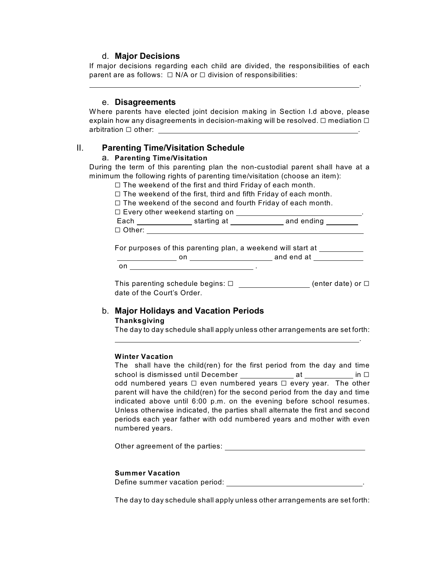### d. **Major Decisions**

If major decisions regarding each child are divided, the responsibilities of each parent are as follows:  $\Box$  N/A or  $\Box$  division of responsibilities:

.

#### e. **Disagreements**

Where parents have elected joint decision making in Section I.d above, please explain how any disagreements in decision-making will be resolved.  $\Box$  mediation  $\Box$ arbitration G other: .

### II. **Parenting Time/Visitation Schedule**

#### a. **Parenting Time/Visitation**

During the term of this parenting plan the non-custodial parent shall have at a minimum the following rights of parenting time/visitation (choose an item):

- $\Box$  The weekend of the first and third Friday of each month.
- $\Box$  The weekend of the first, third and fifth Friday of each month.
- $\Box$  The weekend of the second and fourth Friday of each month.
- $\square$  Every other weekend starting on  $\_\_\_\_\_\_\_\_\_\_\_\_$

Each \_\_\_\_\_\_\_\_\_\_\_\_\_\_\_\_\_\_ starting at \_\_\_\_\_\_\_\_\_\_\_\_\_\_ and ending \_\_\_\_\_\_\_  $\Box$  Other:

For purposes of this parenting plan, a weekend will start at **Fig. 1.1.** 

 on and end at on  $\overline{\phantom{a}}$  .

This parenting schedule begins:  $\square$  (enter date) or  $\square$ date of the Court's Order.

#### b. **Major Holidays and Vacation Periods Thanksgiving**

The day to day schedule shall apply unless other arrangements are set forth:

<u>. Andre van die stelling van die stelling van die stelling van die stelling van die stelling van die stelling</u>

#### **Winter Vacation**

The shall have the child(ren) for the first period from the day and time school is dismissed until December at in G odd numbered years  $\Box$  even numbered years  $\Box$  every year. The other parent will have the child(ren) for the second period from the day and time indicated above until 6:00 p.m. on the evening before school resumes. Unless otherwise indicated, the parties shall alternate the first and second periods each year father with odd numbered years and mother with even numbered years.

Other agreement of the parties:

#### **Summer Vacation**

Define summer vacation period:  $\qquad \qquad \ldots$ 

The day to day schedule shall apply unless other arrangements are set forth: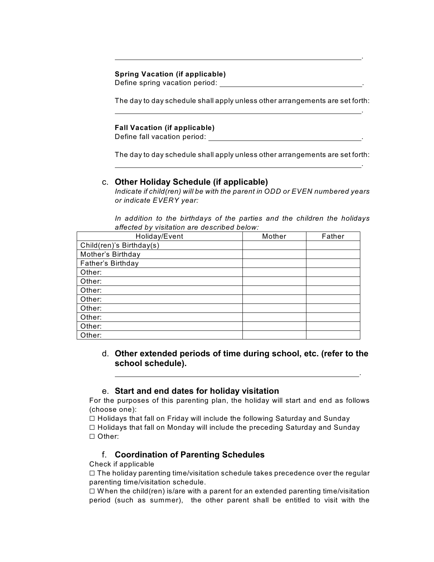### **Spring Vacation (if applicable)**

Define spring vacation period: .

The day to day schedule shall apply unless other arrangements are set forth: <u>. Andre Sterne and Sterne and Sterne and Sterne and Sterne and Sterne and Sterne and Sterne and Sterne and St</u>

<u>. Andre Sterne and Sterne and Sterne and Sterne and Sterne and Sterne and Sterne and Sterne and Sterne and St</u>

### **Fall Vacation (if applicable)**

Define fall vacation period: .

The day to day schedule shall apply unless other arrangements are set forth: <u>. Andre Sterne and Sterne and Sterne and Sterne and Sterne and Sterne and Sterne and Sterne and Sterne and St</u>

## c. **Other Holiday Schedule (if applicable)**

*Indicate if child(ren) will be with the parent in ODD or EVEN numbered years or indicate EVERY year:*

*In addition to the birthdays of the parties and the children the holidays affected by visitation are described below:*

| Holiday/Event            | Mother | Father |
|--------------------------|--------|--------|
| Child(ren)'s Birthday(s) |        |        |
| Mother's Birthday        |        |        |
| Father's Birthday        |        |        |
| Other:                   |        |        |
| Other:                   |        |        |
| Other:                   |        |        |
| Other:                   |        |        |
| Other:                   |        |        |
| Other:                   |        |        |
| Other:                   |        |        |
| Other:                   |        |        |

# d. **Other extended periods of time during school, etc. (refer to the school schedule).**

<u>. Andre van die stelling van die stelling van die stelling van die stelling van die stelling van die stelling</u>

## e. **Start and end dates for holiday visitation**

For the purposes of this parenting plan, the holiday will start and end as follows (choose one):

 $\Box$  Holidays that fall on Friday will include the following Saturday and Sunday  $\Box$  Holidays that fall on Monday will include the preceding Saturday and Sunday □ Other:

# f. **Coordination of Parenting Schedules**

Check if applicable

 $\Box$  The holiday parenting time/visitation schedule takes precedence over the regular parenting time/visitation schedule.

 $\Box$  When the child(ren) is/are with a parent for an extended parenting time/visitation period (such as summer), the other parent shall be entitled to visit with the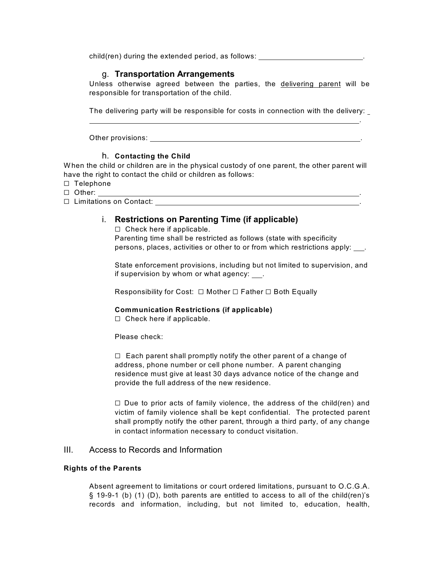child(ren) during the extended period, as follows: .

## g. **Transportation Arrangements**

Unless otherwise agreed between the parties, the delivering parent will be responsible for transportation of the child.

The delivering party will be responsible for costs in connection with the delivery:

.

Other provisions: .

### h. **Contacting the Child**

When the child or children are in the physical custody of one parent, the other parent will have the right to contact the child or children as follows:

- □ Telephone
- $\Box$  Other:
- G Limitations on Contact: .

## i. **Restrictions on Parenting Time (if applicable)**

 $\Box$  Check here if applicable.

Parenting time shall be restricted as follows (state with specificity persons, places, activities or other to or from which restrictions apply: .

State enforcement provisions, including but not limited to supervision, and if supervision by whom or what agency: .

Responsibility for Cost:  $\Box$  Mother  $\Box$  Father  $\Box$  Both Equally

### **Communication Restrictions (if applicable)**

 $\Box$  Check here if applicable.

Please check:

 $\Box$  Each parent shall promptly notify the other parent of a change of address, phone number or cell phone number. A parent changing residence must give at least 30 days advance notice of the change and provide the full address of the new residence.

 $\Box$  Due to prior acts of family violence, the address of the child(ren) and victim of family violence shall be kept confidential. The protected parent shall promptly notify the other parent, through a third party, of any change in contact information necessary to conduct visitation.

### III. Access to Records and Information

#### **Rights of the Parents**

Absent agreement to limitations or court ordered limitations, pursuant to O.C.G.A. § 19-9-1 (b) (1) (D), both parents are entitled to access to all of the child(ren)'s records and information, including, but not limited to, education, health,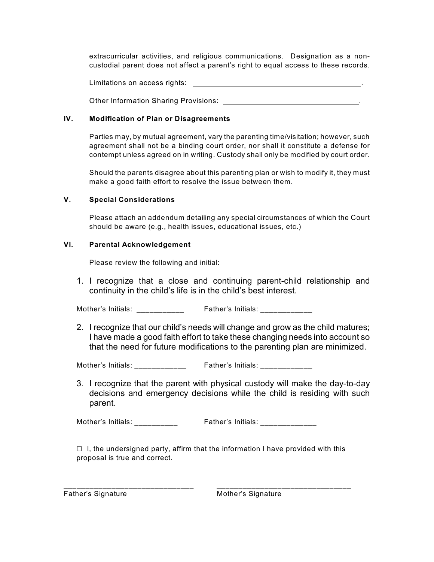extracurricular activities, and religious communications. Designation as a noncustodial parent does not affect a parent's right to equal access to these records.

Limitations on access rights:  $\sqrt{\frac{1}{1-\frac{1}{2}}\left(\frac{1}{1-\frac{1}{2}}\right)^{2}}$ 

Other Information Sharing Provisions: .

### **IV. Modification of Plan or Disagreements**

Parties may, by mutual agreement, vary the parenting time/visitation; however, such agreement shall not be a binding court order, nor shall it constitute a defense for contempt unless agreed on in writing. Custody shall only be modified by court order.

Should the parents disagree about this parenting plan or wish to modify it, they must make a good faith effort to resolve the issue between them.

### **V. Special Considerations**

Please attach an addendum detailing any special circumstances of which the Court should be aware (e.g., health issues, educational issues, etc.)

### **VI. Parental Acknowledgement**

Please review the following and initial:

1. I recognize that a close and continuing parent-child relationship and continuity in the child's life is in the child's best interest.

Mother's Initials: \_\_\_\_\_\_\_\_\_\_\_\_ Father's Initials: \_\_\_\_\_\_\_\_\_\_\_\_\_

2. I recognize that our child's needs will change and grow as the child matures; I have made a good faith effort to take these changing needs into account so that the need for future modifications to the parenting plan are minimized.

Mother's Initials: <br>
Father's Initials:

3. I recognize that the parent with physical custody will make the day-to-day decisions and emergency decisions while the child is residing with such parent.

Mother's Initials: \_\_\_\_\_\_\_\_\_\_\_ Father's Initials: \_\_\_\_\_\_\_\_\_\_\_\_\_

 $\Box$  I, the undersigned party, affirm that the information I have provided with this proposal is true and correct.

\_\_\_\_\_\_\_\_\_\_\_\_\_\_\_\_\_\_\_\_\_\_\_\_\_\_\_\_\_\_ \_\_\_\_\_\_\_\_\_\_\_\_\_\_\_\_\_\_\_\_\_\_\_\_\_\_\_\_\_\_\_

Father's Signature **Father's Signature** Mother's Signature